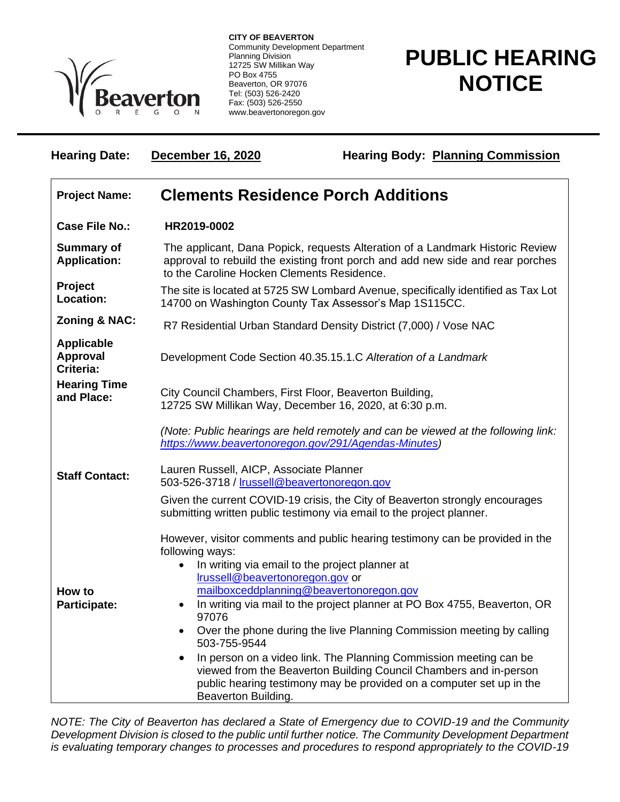

**CITY OF BEAVERTON** Community Development Department Planning Division 12725 SW Millikan Way PO Box 4755 Beaverton, OR 97076 Tel: (503) 526-2420 Fax: (503) 526-2550 www.beavertonoregon.gov

## **PUBLIC HEARING NOTICE**

| <b>Hearing Date:</b>                       | December 16, 2020                                                                                                                                                                                             | <b>Hearing Body: Planning Commission</b>                                                                                                                                                                       |  |
|--------------------------------------------|---------------------------------------------------------------------------------------------------------------------------------------------------------------------------------------------------------------|----------------------------------------------------------------------------------------------------------------------------------------------------------------------------------------------------------------|--|
| <b>Project Name:</b>                       | <b>Clements Residence Porch Additions</b>                                                                                                                                                                     |                                                                                                                                                                                                                |  |
| <b>Case File No.:</b>                      | HR2019-0002                                                                                                                                                                                                   |                                                                                                                                                                                                                |  |
| <b>Summary of</b><br><b>Application:</b>   | The applicant, Dana Popick, requests Alteration of a Landmark Historic Review<br>approval to rebuild the existing front porch and add new side and rear porches<br>to the Caroline Hocken Clements Residence. |                                                                                                                                                                                                                |  |
| Project<br>Location:                       |                                                                                                                                                                                                               | The site is located at 5725 SW Lombard Avenue, specifically identified as Tax Lot<br>14700 on Washington County Tax Assessor's Map 1S115CC.                                                                    |  |
| <b>Zoning &amp; NAC:</b>                   | R7 Residential Urban Standard Density District (7,000) / Vose NAC                                                                                                                                             |                                                                                                                                                                                                                |  |
| <b>Applicable</b><br>Approval<br>Criteria: | Development Code Section 40.35.15.1.C Alteration of a Landmark                                                                                                                                                |                                                                                                                                                                                                                |  |
| <b>Hearing Time</b><br>and Place:          | City Council Chambers, First Floor, Beaverton Building,<br>12725 SW Millikan Way, December 16, 2020, at 6:30 p.m.                                                                                             |                                                                                                                                                                                                                |  |
|                                            | (Note: Public hearings are held remotely and can be viewed at the following link:<br>https://www.beavertonoregon.gov/291/Agendas-Minutes)                                                                     |                                                                                                                                                                                                                |  |
| <b>Staff Contact:</b>                      | Lauren Russell, AICP, Associate Planner<br>503-526-3718 / Irussell@beavertonoregon.gov                                                                                                                        |                                                                                                                                                                                                                |  |
|                                            | Given the current COVID-19 crisis, the City of Beaverton strongly encourages<br>submitting written public testimony via email to the project planner.                                                         |                                                                                                                                                                                                                |  |
|                                            | following ways:<br>In writing via email to the project planner at<br>Irussell@beavertonoregon.gov or                                                                                                          | However, visitor comments and public hearing testimony can be provided in the                                                                                                                                  |  |
| How to<br><b>Participate:</b>              | 97076<br>$\bullet$<br>503-755-9544                                                                                                                                                                            | mailboxceddplanning@beavertonoregon.gov<br>In writing via mail to the project planner at PO Box 4755, Beaverton, OR<br>Over the phone during the live Planning Commission meeting by calling                   |  |
|                                            | Beaverton Building.                                                                                                                                                                                           | In person on a video link. The Planning Commission meeting can be<br>viewed from the Beaverton Building Council Chambers and in-person<br>public hearing testimony may be provided on a computer set up in the |  |

*NOTE: The City of Beaverton has declared a State of Emergency due to COVID-19 and the Community Development Division is closed to the public until further notice. The Community Development Department is evaluating temporary changes to processes and procedures to respond appropriately to the COVID-19*